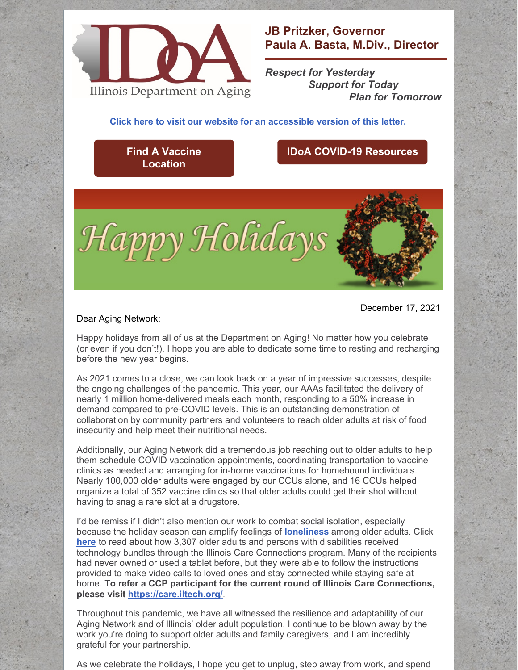

**JB Pritzker, Governor Paula A. Basta, M.Div., Director**

*Respect for Yesterday Support for Today Plan for Tomorrow*

**Click here to visit our website for an [accessible](https://www2.illinois.gov/aging/AboutUs/Pages/Messages-from-the-Director.aspx) version of this letter.**

## **Find A Vaccine [Location](https://coronavirus.illinois.gov/s/vaccination-location)**

## **IDoA COVID-19 [Resources](https://www2.illinois.gov/aging/Coronavirus/Vaccine/Pages/default.aspx)**

December 17, 2021



## Dear Aging Network:

Happy holidays from all of us at the Department on Aging! No matter how you celebrate (or even if you don't!), I hope you are able to dedicate some time to resting and recharging before the new year begins.

As 2021 comes to a close, we can look back on a year of impressive successes, despite the ongoing challenges of the pandemic. This year, our AAAs facilitated the delivery of nearly 1 million home-delivered meals each month, responding to a 50% increase in demand compared to pre-COVID levels. This is an outstanding demonstration of collaboration by community partners and volunteers to reach older adults at risk of food insecurity and help meet their nutritional needs.

Additionally, our Aging Network did a tremendous job reaching out to older adults to help them schedule COVID vaccination appointments, coordinating transportation to vaccine clinics as needed and arranging for in-home vaccinations for homebound individuals. Nearly 100,000 older adults were engaged by our CCUs alone, and 16 CCUs helped organize a total of 352 vaccine clinics so that older adults could get their shot without having to snag a rare slot at a drugstore.

I'd be remiss if I didn't also mention our work to combat social isolation, especially because the holiday season can amplify feelings of **[loneliness](https://www.ncoa.org/article/four-steps-to-combat-loneliness-in-seniors-during-the-holiday-and-beyond)** among older adults. Click **[here](https://www2.illinois.gov/aging/programs/Documents/Reducing-Social-Isolation-Through-Technology.pdf)** to read about how 3,307 older adults and persons with disabilities received technology bundles through the Illinois Care Connections program. Many of the recipients had never owned or used a tablet before, but they were able to follow the instructions provided to make video calls to loved ones and stay connected while staying safe at home. **To refer a CCP participant for the current round of Illinois Care Connections, please visit <https://care.iltech.org/>**.

Throughout this pandemic, we have all witnessed the resilience and adaptability of our Aging Network and of Illinois' older adult population. I continue to be blown away by the work you're doing to support older adults and family caregivers, and I am incredibly grateful for your partnership.

As we celebrate the holidays, I hope you get to unplug, step away from work, and spend